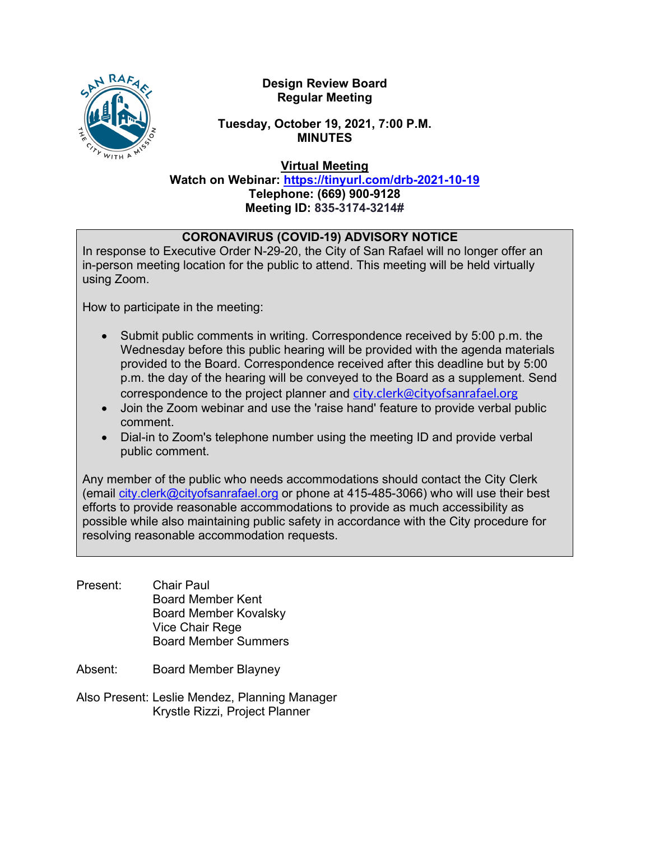

# **Design Review Board Regular Meeting**

# **Tuesday, October 19, 2021, 7:00 P.M. MINUTES**

**Virtual Meeting**

**Watch on Webinar: <https://tinyurl.com/drb-2021-10-19> Telephone: (669) 900-9128 Meeting ID: 835-3174-3214#**

# **CORONAVIRUS (COVID-19) ADVISORY NOTICE**

In response to Executive Order N-29-20, the City of San Rafael will no longer offer an in-person meeting location for the public to attend. This meeting will be held virtually using Zoom.

How to participate in the meeting:

- Submit public comments in writing. Correspondence received by 5:00 p.m. the Wednesday before this public hearing will be provided with the agenda materials provided to the Board. Correspondence received after this deadline but by 5:00 p.m. the day of the hearing will be conveyed to the Board as a supplement. Send correspondence to the project planner and [city.clerk@cityofsanrafael.org](mailto:city.clerk@cityofsanrafael.org)
- Join the Zoom webinar and use the 'raise hand' feature to provide verbal public comment.
- Dial-in to Zoom's telephone number using the meeting ID and provide verbal public comment.

Any member of the public who needs accommodations should contact the City Clerk (email [city.clerk@cityofsanrafael.org](mailto:city.clerk@cityofsanrafael.org) or phone at 415-485-3066) who will use their best efforts to provide reasonable accommodations to provide as much accessibility as possible while also maintaining public safety in accordance with the City procedure for resolving reasonable accommodation requests.

- Present: Chair Paul Board Member Kent Board Member Kovalsky Vice Chair Rege Board Member Summers
- Absent: Board Member Blayney
- Also Present: Leslie Mendez, Planning Manager Krystle Rizzi, Project Planner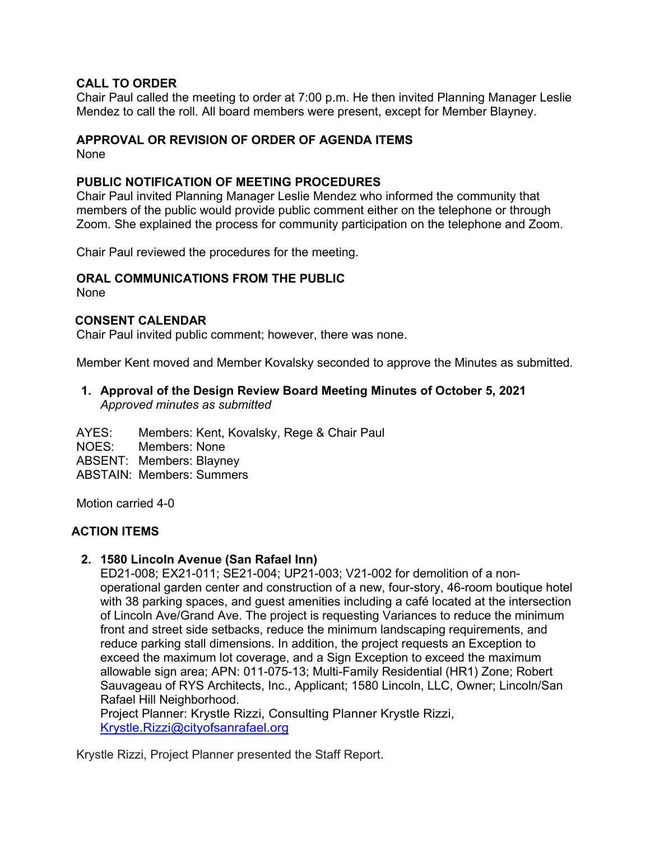### **CALL TO ORDER**

Chair Paul called the meeting to order at 7:00 p.m. He then invited Planning Manager Leslie Mendez to call the roll. All board members were present, except for Member Blayney.

### **APPROVAL OR REVISION OF ORDER OF AGENDA ITEMS**

None

#### **PUBLIC NOTIFICATION OF MEETING PROCEDURES**

Chair Paul invited Planning Manager Leslie Mendez who informed the community that members of the public would provide public comment either on the telephone or through Zoom. She explained the process for community participation on the telephone and Zoom.

Chair Paul reviewed the procedures for the meeting.

#### **ORAL COMMUNICATIONS FROM THE PUBLIC**

None

#### **CONSENT CALENDAR**

Chair Paul invited public comment; however, there was none.

Member Kent moved and Member Kovalsky seconded to approve the Minutes as submitted*.* 

### **1. Approval of the Design Review Board Meeting Minutes of October 5, 2021** *Approved minutes as submitted*

AYES: Members: Kent, Kovalsky, Rege & Chair Paul NOES: Members: None ABSENT: Members: Blayney ABSTAIN: Members: Summers

Motion carried 4-0

# **ACTION ITEMS**

#### **2. 1580 Lincoln Avenue (San Rafael Inn)**

ED21-008; EX21-011; SE21-004; UP21-003; V21-002 for demolition of a nonoperational garden center and construction of a new, four-story, 46-room boutique hotel with 38 parking spaces, and guest amenities including a café located at the intersection of Lincoln Ave/Grand Ave. The project is requesting Variances to reduce the minimum front and street side setbacks, reduce the minimum landscaping requirements, and reduce parking stall dimensions. In addition, the project requests an Exception to exceed the maximum lot coverage, and a Sign Exception to exceed the maximum allowable sign area; APN: 011-075-13; Multi-Family Residential (HR1) Zone; Robert Sauvageau of RYS Architects, Inc., Applicant; 1580 Lincoln, LLC, Owner; Lincoln/San Rafael Hill Neighborhood.

Project Planner: Krystle Rizzi, Consulting Planner Krystle Rizzi, [Krystle.Rizzi@cityofsanrafael.org](mailto:Krystle.Rizzi@cityofsanrafael.org)

Krystle Rizzi, Project Planner presented the Staff Report.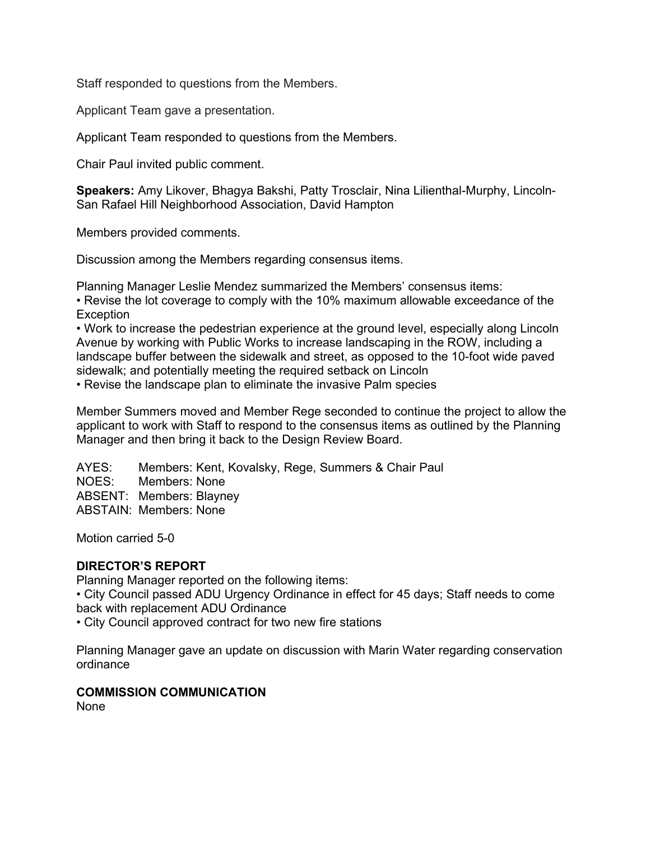Staff responded to questions from the Members.

Applicant Team gave a presentation.

Applicant Team responded to questions from the Members.

Chair Paul invited public comment.

**Speakers:** Amy Likover, Bhagya Bakshi, Patty Trosclair, Nina Lilienthal-Murphy, Lincoln-San Rafael Hill Neighborhood Association, David Hampton

Members provided comments.

Discussion among the Members regarding consensus items.

Planning Manager Leslie Mendez summarized the Members' consensus items:

• Revise the lot coverage to comply with the 10% maximum allowable exceedance of the **Exception** 

• Work to increase the pedestrian experience at the ground level, especially along Lincoln Avenue by working with Public Works to increase landscaping in the ROW, including a landscape buffer between the sidewalk and street, as opposed to the 10-foot wide paved sidewalk; and potentially meeting the required setback on Lincoln

• Revise the landscape plan to eliminate the invasive Palm species

Member Summers moved and Member Rege seconded to continue the project to allow the applicant to work with Staff to respond to the consensus items as outlined by the Planning Manager and then bring it back to the Design Review Board.

AYES: Members: Kent, Kovalsky, Rege, Summers & Chair Paul NOES: Members: None ABSENT: Members: Blayney ABSTAIN: Members: None

Motion carried 5-0

# **DIRECTOR'S REPORT**

Planning Manager reported on the following items:

• City Council passed ADU Urgency Ordinance in effect for 45 days; Staff needs to come back with replacement ADU Ordinance

• City Council approved contract for two new fire stations

Planning Manager gave an update on discussion with Marin Water regarding conservation ordinance

# **COMMISSION COMMUNICATION**

None